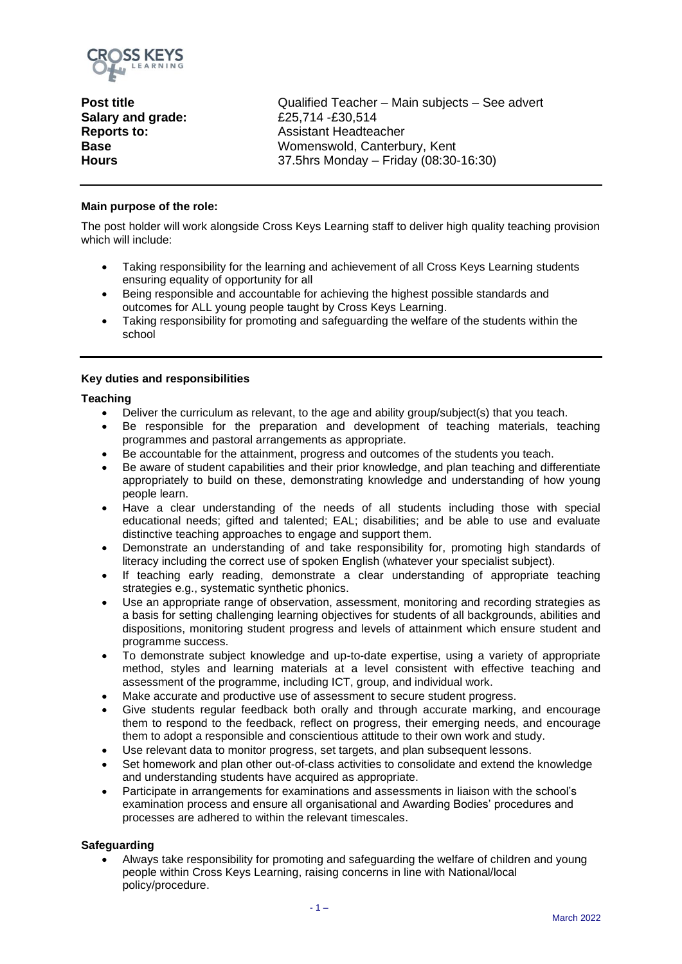

**Salary and grade:** £25,714 -£30,514 **Reports to: Base Hours** 

**Post title Conserverty Qualified Teacher – Main subjects – See advert** Assistant Headteacher Womenswold, Canterbury, Kent 37.5hrs Monday – Friday (08:30-16:30)

# **Main purpose of the role:**

The post holder will work alongside Cross Keys Learning staff to deliver high quality teaching provision which will include:

- Taking responsibility for the learning and achievement of all Cross Keys Learning students ensuring equality of opportunity for all
- Being responsible and accountable for achieving the highest possible standards and outcomes for ALL young people taught by Cross Keys Learning.
- Taking responsibility for promoting and safeguarding the welfare of the students within the school

# **Key duties and responsibilities**

#### **Teaching**

- Deliver the curriculum as relevant, to the age and ability group/subject(s) that you teach.
- Be responsible for the preparation and development of teaching materials, teaching programmes and pastoral arrangements as appropriate.
- Be accountable for the attainment, progress and outcomes of the students you teach.
- Be aware of student capabilities and their prior knowledge, and plan teaching and differentiate appropriately to build on these, demonstrating knowledge and understanding of how young people learn.
- Have a clear understanding of the needs of all students including those with special educational needs; gifted and talented; EAL; disabilities; and be able to use and evaluate distinctive teaching approaches to engage and support them.
- Demonstrate an understanding of and take responsibility for, promoting high standards of literacy including the correct use of spoken English (whatever your specialist subject).
- If teaching early reading, demonstrate a clear understanding of appropriate teaching strategies e.g., systematic synthetic phonics.
- Use an appropriate range of observation, assessment, monitoring and recording strategies as a basis for setting challenging learning objectives for students of all backgrounds, abilities and dispositions, monitoring student progress and levels of attainment which ensure student and programme success.
- To demonstrate subject knowledge and up-to-date expertise, using a variety of appropriate method, styles and learning materials at a level consistent with effective teaching and assessment of the programme, including ICT, group, and individual work.
- Make accurate and productive use of assessment to secure student progress.
- Give students regular feedback both orally and through accurate marking, and encourage them to respond to the feedback, reflect on progress, their emerging needs, and encourage them to adopt a responsible and conscientious attitude to their own work and study.
- Use relevant data to monitor progress, set targets, and plan subsequent lessons.
- Set homework and plan other out-of-class activities to consolidate and extend the knowledge and understanding students have acquired as appropriate.
- Participate in arrangements for examinations and assessments in liaison with the school's examination process and ensure all organisational and Awarding Bodies' procedures and processes are adhered to within the relevant timescales.

#### **Safeguarding**

• Always take responsibility for promoting and safeguarding the welfare of children and young people within Cross Keys Learning, raising concerns in line with National/local policy/procedure.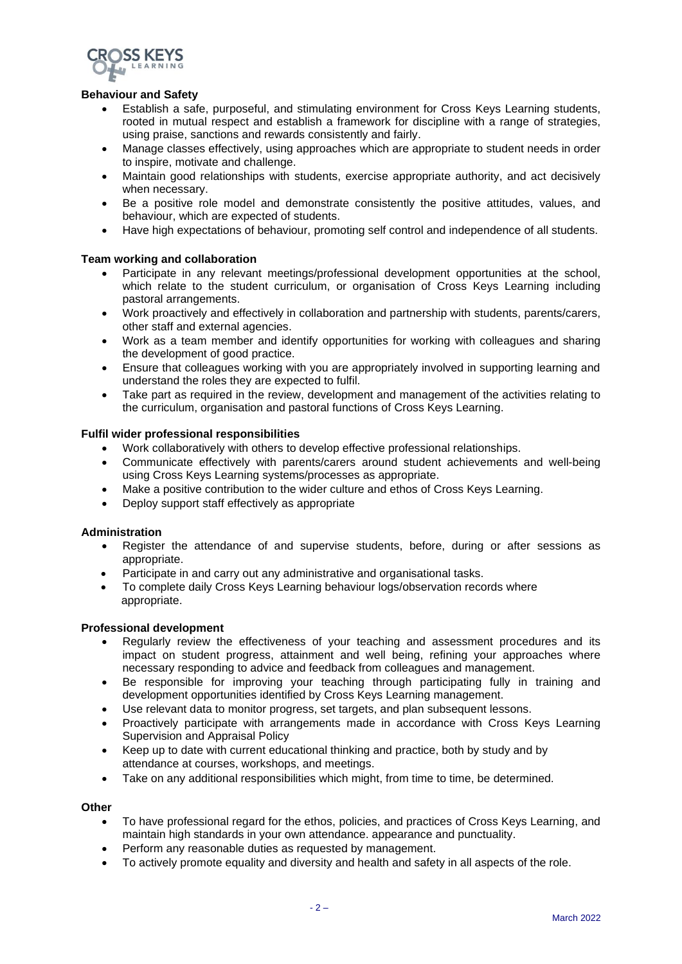

## **Behaviour and Safety**

- Establish a safe, purposeful, and stimulating environment for Cross Keys Learning students, rooted in mutual respect and establish a framework for discipline with a range of strategies, using praise, sanctions and rewards consistently and fairly.
- Manage classes effectively, using approaches which are appropriate to student needs in order to inspire, motivate and challenge.
- Maintain good relationships with students, exercise appropriate authority, and act decisively when necessary.
- Be a positive role model and demonstrate consistently the positive attitudes, values, and behaviour, which are expected of students.
- Have high expectations of behaviour, promoting self control and independence of all students.

# **Team working and collaboration**

- Participate in any relevant meetings/professional development opportunities at the school, which relate to the student curriculum, or organisation of Cross Keys Learning including pastoral arrangements.
- Work proactively and effectively in collaboration and partnership with students, parents/carers, other staff and external agencies.
- Work as a team member and identify opportunities for working with colleagues and sharing the development of good practice.
- Ensure that colleagues working with you are appropriately involved in supporting learning and understand the roles they are expected to fulfil.
- Take part as required in the review, development and management of the activities relating to the curriculum, organisation and pastoral functions of Cross Keys Learning.

#### **Fulfil wider professional responsibilities**

- Work collaboratively with others to develop effective professional relationships.
- Communicate effectively with parents/carers around student achievements and well-being using Cross Keys Learning systems/processes as appropriate.
- Make a positive contribution to the wider culture and ethos of Cross Keys Learning.
- Deploy support staff effectively as appropriate

#### **Administration**

- Register the attendance of and supervise students, before, during or after sessions as appropriate.
- Participate in and carry out any administrative and organisational tasks.
- To complete daily Cross Keys Learning behaviour logs/observation records where appropriate.

#### **Professional development**

- Regularly review the effectiveness of your teaching and assessment procedures and its impact on student progress, attainment and well being, refining your approaches where necessary responding to advice and feedback from colleagues and management.
- Be responsible for improving your teaching through participating fully in training and development opportunities identified by Cross Keys Learning management.
- Use relevant data to monitor progress, set targets, and plan subsequent lessons.
- Proactively participate with arrangements made in accordance with Cross Keys Learning Supervision and Appraisal Policy
- Keep up to date with current educational thinking and practice, both by study and by attendance at courses, workshops, and meetings.
- Take on any additional responsibilities which might, from time to time, be determined.

## **Other**

- To have professional regard for the ethos, policies, and practices of Cross Keys Learning, and maintain high standards in your own attendance. appearance and punctuality.
- Perform any reasonable duties as requested by management.
- To actively promote equality and diversity and health and safety in all aspects of the role.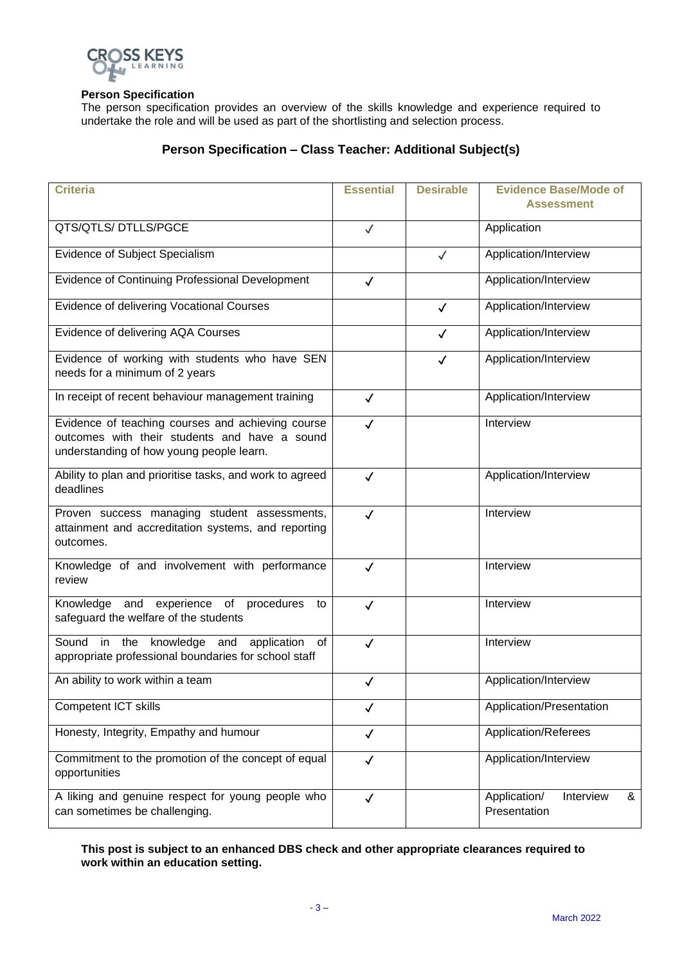

## **Person Specification**

The person specification provides an overview of the skills knowledge and experience required to undertake the role and will be used as part of the shortlisting and selection process.

# **Person Specification – Class Teacher: Additional Subject(s)**

| <b>Criteria</b>                                                                                                                                | <b>Essential</b> | <b>Desirable</b> | <b>Evidence Base/Mode of</b>                   |
|------------------------------------------------------------------------------------------------------------------------------------------------|------------------|------------------|------------------------------------------------|
|                                                                                                                                                |                  |                  | <b>Assessment</b>                              |
| QTS/QTLS/DTLLS/PGCE                                                                                                                            | $\checkmark$     |                  | Application                                    |
| Evidence of Subject Specialism                                                                                                                 |                  | $\checkmark$     | Application/Interview                          |
| <b>Evidence of Continuing Professional Development</b>                                                                                         | $\checkmark$     |                  | Application/Interview                          |
| Evidence of delivering Vocational Courses                                                                                                      |                  | $\checkmark$     | Application/Interview                          |
| Evidence of delivering AQA Courses                                                                                                             |                  | $\checkmark$     | Application/Interview                          |
| Evidence of working with students who have SEN<br>needs for a minimum of 2 years                                                               |                  | $\checkmark$     | Application/Interview                          |
| In receipt of recent behaviour management training                                                                                             | $\checkmark$     |                  | Application/Interview                          |
| Evidence of teaching courses and achieving course<br>outcomes with their students and have a sound<br>understanding of how young people learn. | $\checkmark$     |                  | Interview                                      |
| Ability to plan and prioritise tasks, and work to agreed<br>deadlines                                                                          | $\checkmark$     |                  | Application/Interview                          |
| Proven success managing student assessments,<br>attainment and accreditation systems, and reporting<br>outcomes.                               | $\checkmark$     |                  | Interview                                      |
| Knowledge of and involvement with performance<br>review                                                                                        | $\checkmark$     |                  | Interview                                      |
| Knowledge and experience of procedures<br>to<br>safeguard the welfare of the students                                                          | $\checkmark$     |                  | Interview                                      |
| Sound in the knowledge and application of<br>appropriate professional boundaries for school staff                                              | $\checkmark$     |                  | Interview                                      |
| An ability to work within a team                                                                                                               | $\checkmark$     |                  | Application/Interview                          |
| Competent ICT skills                                                                                                                           | $\checkmark$     |                  | Application/Presentation                       |
| Honesty, Integrity, Empathy and humour                                                                                                         | $\checkmark$     |                  | Application/Referees                           |
| Commitment to the promotion of the concept of equal<br>opportunities                                                                           | $\checkmark$     |                  | Application/Interview                          |
| A liking and genuine respect for young people who<br>can sometimes be challenging.                                                             | $\checkmark$     |                  | Application/<br>Interview<br>&<br>Presentation |

# **This post is subject to an enhanced DBS check and other appropriate clearances required to work within an education setting.**